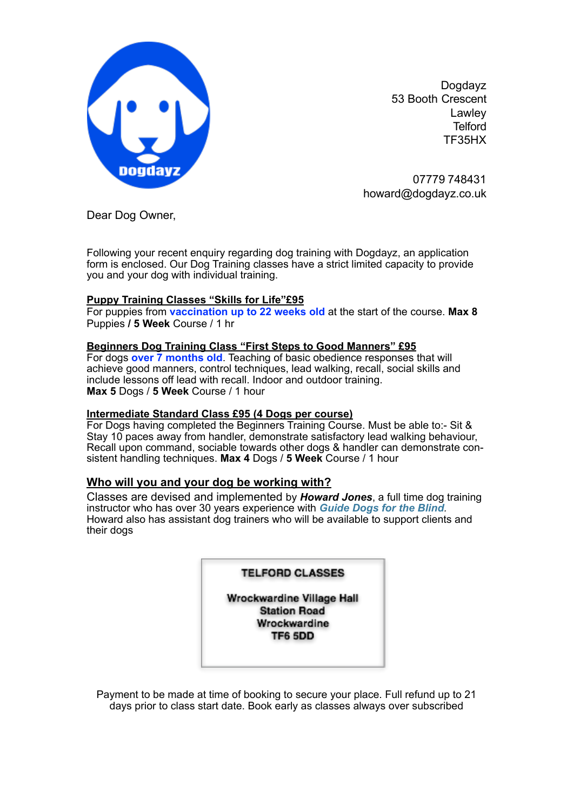

Dogdayz 53 Booth Crescent Lawley **Telford** TF35HX

07779 748431 [howard@dogdayz.co.uk](mailto:howard@dogdayz.co.uk)

Dear Dog Owner,

Following your recent enquiry regarding dog training with Dogdayz, an application form is enclosed. Our Dog Training classes have a strict limited capacity to provide you and your dog with individual training.

## **Puppy Training Classes "Skills for Life"£95**

For puppies from **vaccination up to 22 weeks old** at the start of the course. **Max 8**  Puppies **/ 5 Week** Course / 1 hr

## **Beginners Dog Training Class "First Steps to Good Manners" £95**

For dogs **over 7 months old**. Teaching of basic obedience responses that will achieve good manners, control techniques, lead walking, recall, social skills and include lessons off lead with recall. Indoor and outdoor training. **Max 5** Dogs / **5 Week** Course / 1 hour

## **Intermediate Standard Class £95 (4 Dogs per course)**

For Dogs having completed the Beginners Training Course. Must be able to:- Sit & Stay 10 paces away from handler, demonstrate satisfactory lead walking behaviour, Recall upon command, sociable towards other dogs & handler can demonstrate consistent handling techniques. **Max 4** Dogs / **5 Week** Course / 1 hour

## **Who will you and your dog be working with?**

Classes are devised and implemented by *Howard Jones*, a full time dog training instructor who has over 30 years experience with *Guide Dogs for the Blind.*  Howard also has assistant dog trainers who will be available to support clients and their dogs

**TELFORD CLASSES** 

Wrockwardine Village Hall **Station Road** Wrockwardine **TF6 5DD** 

Payment to be made at time of booking to secure your place. Full refund up to 21 days prior to class start date. Book early as classes always over subscribed